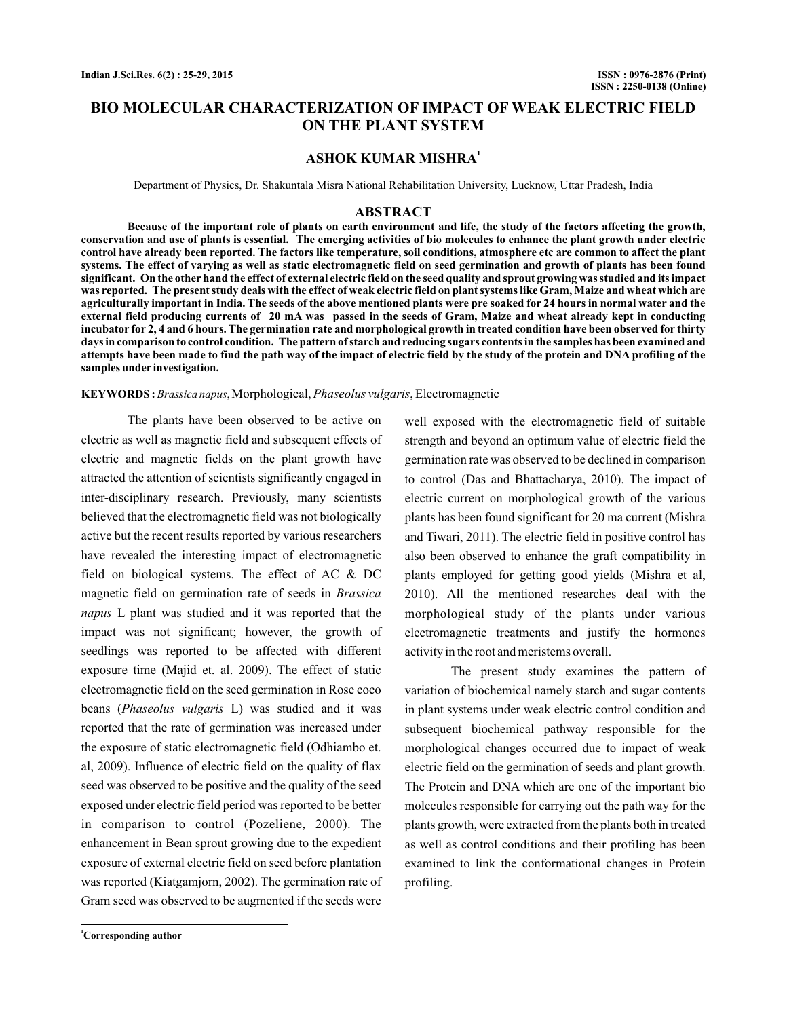# **BIO MOLECULAR CHARACTERIZATION OF IMPACT OF WEAK ELECTRIC FIELD ON THE PLANT SYSTEM**

### **ASHOK KUMAR MISHRA<sup>1</sup>**

Department of Physics, Dr. Shakuntala Misra National Rehabilitation University, Lucknow, Uttar Pradesh, India

### **ABSTRACT**

**Because of the important role of plants on earth environment and life, the study of the factors affecting the growth, conservation and use of plants is essential. The emerging activities of bio molecules to enhance the plant growth under electric control have already been reported. The factors like temperature, soil conditions, atmosphere etc are common to affect the plant systems. The effect of varying as well as static electromagnetic field on seed germination and growth of plants has been found significant. On the other hand the effect of external electric field on the seed quality and sprout growing was studied and its impact was reported. The present study deals with the effect of weak electric field on plant systems like Gram, Maize and wheat which are agriculturally important in India. The seeds of the above mentioned plants were pre soaked for 24 hours in normal water and the external field producing currents of 20 mA was passed in the seeds of Gram, Maize and wheat already kept in conducting incubator for 2, 4 and 6 hours. The germination rate and morphological growth in treated condition have been observed for thirty days in comparison to control condition. The pattern of starch and reducing sugars contents in the samples has been examined and attempts have been made to find the path way of the impact of electric field by the study of the protein and DNA profiling of the samples under investigation.**

### KEYWORDS: Brassica napus, Morphological, Phaseolus vulgaris, Electromagnetic

The plants have been observed to be active on electric as well as magnetic field and subsequent effects of electric and magnetic fields on the plant growth have attracted the attention of scientists significantly engaged in inter-disciplinary research. Previously, many scientists believed that the electromagnetic field was not biologically active but the recent results reported by various researchers have revealed the interesting impact of electromagnetic field on biological systems. The effect of AC & DC magnetic field on germination rate of seeds in *Brassica* L plant was studied and it was reported that the *napus* impact was not significant; however, the growth of seedlings was reported to be affected with different exposure time (Majid et. al. 2009). The effect of static electromagnetic field on the seed germination in Rose coco beans (Phaseolus vulgaris L) was studied and it was reported that the rate of germination was increased under the exposure of static electromagnetic field (Odhiambo et. al, 2009). Influence of electric field on the quality of flax seed was observed to be positive and the quality of the seed exposed under electric field period was reported to be better in comparison to control (Pozeliene, 2000). The enhancement in Bean sprout growing due to the expedient exposure of external electric field on seed before plantation was reported (Kiatgamjorn, 2002). The germination rate of Gram seed was observed to be augmented if the seeds were

well exposed with the electromagnetic field of suitable strength and beyond an optimum value of electric field the germination rate was observed to be declined in comparison to control (Das and Bhattacharya, 2010). The impact of electric current on morphological growth of the various plants has been found significant for 20 ma current (Mishra and Tiwari, 2011). The electric field in positive control has also been observed to enhance the graft compatibility in plants employed for getting good yields (Mishra et al, 2010). All the mentioned researches deal with the morphological study of the plants under various electromagnetic treatments and justify the hormones activity in the root and meristems overall.

The present study examines the pattern of variation of biochemical namely starch and sugar contents in plant systems under weak electric control condition and subsequent biochemical pathway responsible for the morphological changes occurred due to impact of weak electric field on the germination of seeds and plant growth. The Protein and DNA which are one of the important bio molecules responsible for carrying out the path way for the plants growth, were extracted from the plants both in treated as well as control conditions and their profiling has been examined to link the conformational changes in Protein profiling.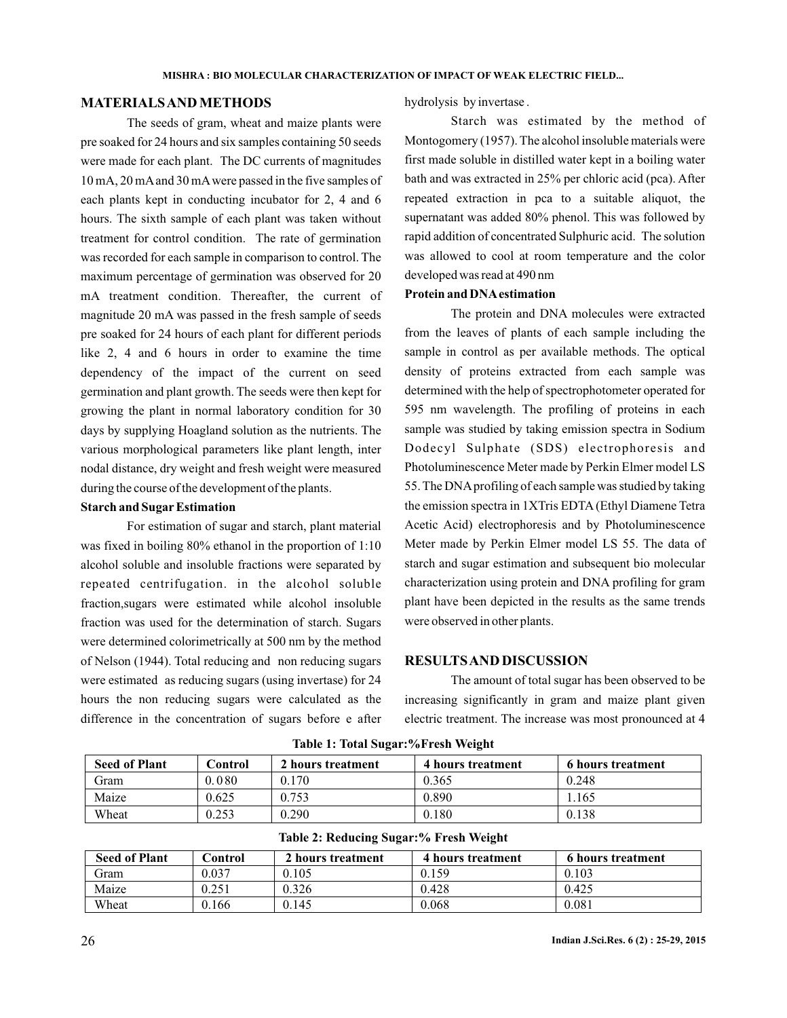## **MATERIALSAND METHODS**

The seeds of gram, wheat and maize plants were pre soaked for 24 hours and six samples containing 50 seeds were made for each plant. The DC currents of magnitudes 10 mA, 20 mAand 30 mAwere passed in the five samples of each plants kept in conducting incubator for 2, 4 and 6 hours. The sixth sample of each plant was taken without treatment for control condition. The rate of germination was recorded for each sample in comparison to control. The maximum percentage of germination was observed for 20 mA treatment condition. Thereafter, the current of magnitude 20 mA was passed in the fresh sample of seeds pre soaked for 24 hours of each plant for different periods like 2, 4 and 6 hours in order to examine the time dependency of the impact of the current on seed germination and plant growth. The seeds were then kept for growing the plant in normal laboratory condition for 30 days by supplying Hoagland solution as the nutrients. The various morphological parameters like plant length, inter nodal distance, dry weight and fresh weight were measured during the course of the development of the plants.

### **Starch and Sugar Estimation**

For estimation of sugar and starch, plant material was fixed in boiling 80% ethanol in the proportion of 1:10 alcohol soluble and insoluble fractions were separated by repeated centrifugation. in the alcohol soluble fraction,sugars were estimated while alcohol insoluble fraction was used for the determination of starch. Sugars were determined colorimetrically at 500 nm by the method of Nelson (1944). Total reducing and non reducing sugars were estimated as reducing sugars (using invertase) for 24 hours the non reducing sugars were calculated as the difference in the concentration of sugars before e after

hydrolysis by invertase .

Starch was estimated by the method of Montogomery (1957). The alcohol insoluble materials were first made soluble in distilled water kept in a boiling water bath and was extracted in 25% per chloric acid (pca). After repeated extraction in pca to a suitable aliquot, the supernatant was added 80% phenol. This was followed by rapid addition of concentrated Sulphuric acid. The solution was allowed to cool at room temperature and the color developed was read at 490 nm

#### **Protein and DNAestimation**

The protein and DNA molecules were extracted from the leaves of plants of each sample including the sample in control as per available methods. The optical density of proteins extracted from each sample was determined with the help of spectrophotometer operated for 595 nm wavelength. The profiling of proteins in each sample was studied by taking emission spectra in Sodium Dodecyl Sulphate (SDS) electrophoresis and Photoluminescence Meter made by Perkin Elmer model LS 55. The DNAprofiling of each sample was studied by taking the emission spectra in 1XTris EDTA (Ethyl Diamene Tetra Acetic Acid) electrophoresis and by Photoluminescence Meter made by Perkin Elmer model LS 55. The data of starch and sugar estimation and subsequent bio molecular characterization using protein and DNA profiling for gram plant have been depicted in the results as the same trends were observed in other plants.

# **RESULTSAND DISCUSSION**

The amount of total sugar has been observed to be increasing significantly in gram and maize plant given electric treatment. The increase was most pronounced at 4

| <b>Seed of Plant</b> | Control | 2 hours treatment | 4 hours treatment | <b>6 hours treatment</b> |
|----------------------|---------|-------------------|-------------------|--------------------------|
| Gram                 | 0.080   | 0.170             | 0.365             | 0.248                    |
| Maize                | 0.625   | 0.753             | 0.890             | . 165                    |
| Wheat                | 0.253   | 0.290             | 0.180             | 0.138                    |

|  |  |  | Table 1: Total Sugar:%Fresh Weight |  |
|--|--|--|------------------------------------|--|
|--|--|--|------------------------------------|--|

| Table 2: Reducing Sugar:% Fresh Weight |  |  |
|----------------------------------------|--|--|
|                                        |  |  |

| <b>Seed of Plant</b> | ∑ontrol | 2 hours treatment | 4 hours treatment | 6 hours treatment |
|----------------------|---------|-------------------|-------------------|-------------------|
| Gram                 | 0.037   | 0.105             | 0.159             | 0.103             |
| Maize                | 0.251   | 0.326             | 0.428             | 0.425             |
| Wheat                | .166    | 0.145             | 0.068             | 0.081             |
|                      |         |                   |                   |                   |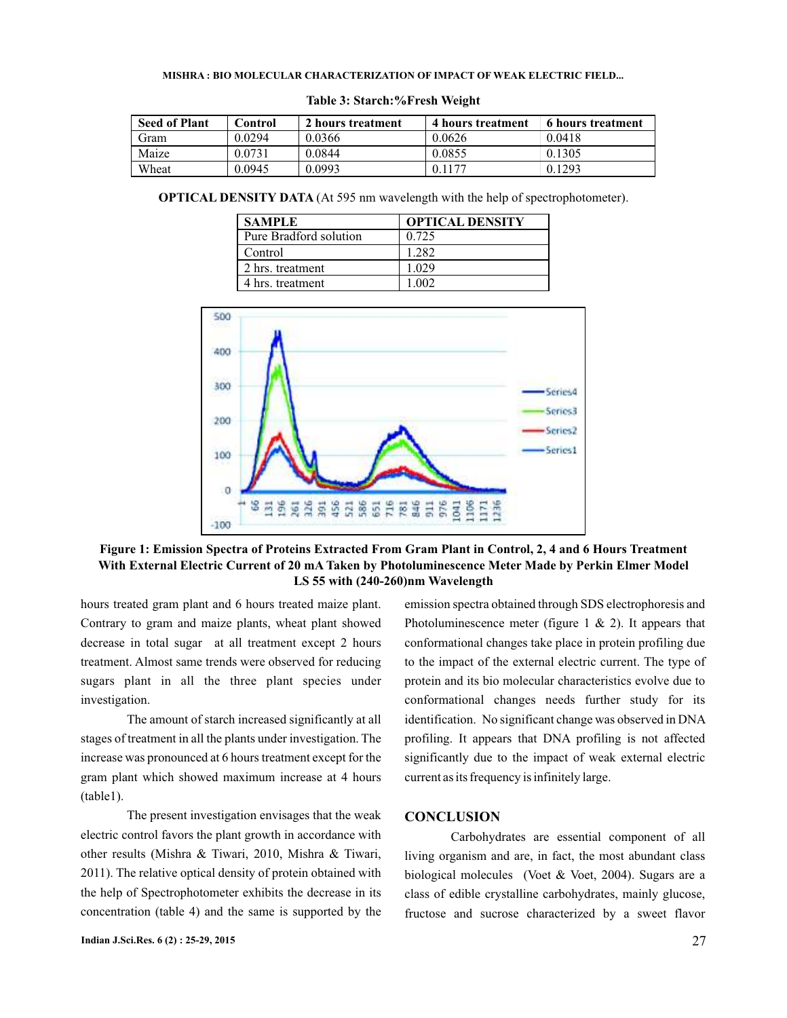#### **MISHRA BIO MOLECULAR CHARACTERIZATION OF IMPACT OF WEAK ELECTRIC FIELD... :**

| <b>Seed of Plant</b> | Control | 2 hours treatment | 4 hours treatment | 6 hours treatment |
|----------------------|---------|-------------------|-------------------|-------------------|
| Gram                 | 0.0294  | 0.0366            | 0.0626            | 0.0418            |
| Maize                | 0.0731  | 0.0844            | 0.0855            | 0.1305            |
| Wheat                | 0.0945  | 0.0993            | 0.1177            | 0.1293            |

#### **Table 3: Starch:%Fresh Weight**

**OPTICAL DENSITY DATA** (At 595 nm wavelength with the help of spectrophotometer).

| <b>SAMPLE</b>          | <b>OPTICAL DENSITY</b> |
|------------------------|------------------------|
| Pure Bradford solution | 0.725                  |
| Control                | 1.282                  |
| 2 hrs. treatment       | 1.029                  |
| 4 hrs. treatment       |                        |



# **Figure 1: Emission Spectra of Proteins Extracted From Gram Plant in Control, 2, 4 and 6 Hours Treatment With External Electric Current of 20 mA Taken by Photoluminescence Meter Made by Perkin Elmer Model LS 55 with (240-260)nm Wavelength**

hours treated gram plant and 6 hours treated maize plant. Contrary to gram and maize plants, wheat plant showed decrease in total sugar at all treatment except 2 hours treatment. Almost same trends were observed for reducing sugars plant in all the three plant species under investigation.

The amount of starch increased significantly at all stages of treatment in all the plants under investigation. The increase was pronounced at 6 hours treatment except for the gram plant which showed maximum increase at 4 hours (table1).

The present investigation envisages that the weak electric control favors the plant growth in accordance with other results (Mishra & Tiwari, 2010, Mishra & Tiwari, 2011). The relative optical density of protein obtained with the help of Spectrophotometer exhibits the decrease in its concentration (table 4) and the same is supported by the

emission spectra obtained through SDS electrophoresis and Photoluminescence meter (figure 1  $\&$  2). It appears that conformational changes take place in protein profiling due to the impact of the external electric current. The type of protein and its bio molecular characteristics evolve due to conformational changes needs further study for its identification. No significant change was observed in DNA profiling. It appears that DNA profiling is not affected significantly due to the impact of weak external electric current as its frequency is infinitely large.

### **CONCLUSION**

Carbohydrates are essential component of all living organism and are, in fact, the most abundant class biological molecules (Voet & Voet, 2004). Sugars are a class of edible crystalline carbohydrates, mainly glucose, fructose and sucrose characterized by a sweet flavor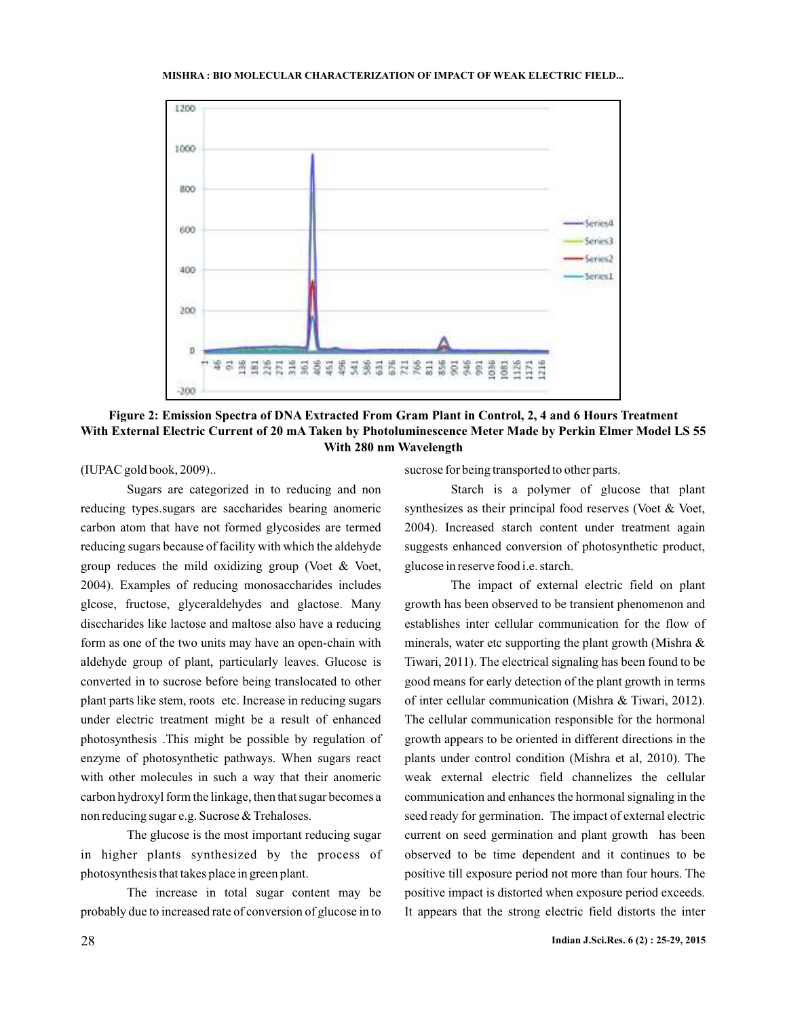#### **MISHRA BIO MOLECULAR CHARACTERIZATION OF IMPACT OF WEAK ELECTRIC FIELD... :**



**Figure 2: Emission Spectra of DNA Extracted From Gram Plant in Control, 2, 4 and 6 Hours Treatment With External Electric Current of 20 mA Taken by Photoluminescence Meter Made by Perkin Elmer Model LS 55 With 280 nm Wavelength**

(IUPAC gold book, 2009)..

Sugars are categorized in to reducing and non reducing types.sugars are saccharides bearing anomeric carbon atom that have not formed glycosides are termed reducing sugars because of facility with which the aldehyde group reduces the mild oxidizing group (Voet & Voet, 2004). Examples of reducing monosaccharides includes glcose, fructose, glyceraldehydes and glactose. Many disccharides like lactose and maltose also have a reducing form as one of the two units may have an open-chain with aldehyde group of plant, particularly leaves. Glucose is converted in to sucrose before being translocated to other plant parts like stem, roots etc. Increase in reducing sugars under electric treatment might be a result of enhanced photosynthesis .This might be possible by regulation of enzyme of photosynthetic pathways. When sugars react with other molecules in such a way that their anomeric carbon hydroxyl form the linkage, then that sugar becomes a non reducing sugar e.g. Sucrose & Trehaloses.

The glucose is the most important reducing sugar in higher plants synthesized by the process of photosynthesis that takes place in green plant.

The increase in total sugar content may be probably due to increased rate of conversion of glucose in to

sucrose for being transported to other parts.

Starch is a polymer of glucose that plant synthesizes as their principal food reserves (Voet & Voet, 2004). Increased starch content under treatment again suggests enhanced conversion of photosynthetic product, glucose in reserve food i.e. starch.

The impact of external electric field on plant growth has been observed to be transient phenomenon and establishes inter cellular communication for the flow of minerals, water etc supporting the plant growth (Mishra  $\&$ Tiwari, 2011). The electrical signaling has been found to be good means for early detection of the plant growth in terms of inter cellular communication (Mishra & Tiwari, 2012). The cellular communication responsible for the hormonal growth appears to be oriented in different directions in the plants under control condition (Mishra et al, 2010). The weak external electric field channelizes the cellular communication and enhances the hormonal signaling in the seed ready for germination. The impact of external electric current on seed germination and plant growth has been observed to be time dependent and it continues to be positive till exposure period not more than four hours. The positive impact is distorted when exposure period exceeds. It appears that the strong electric field distorts the inter